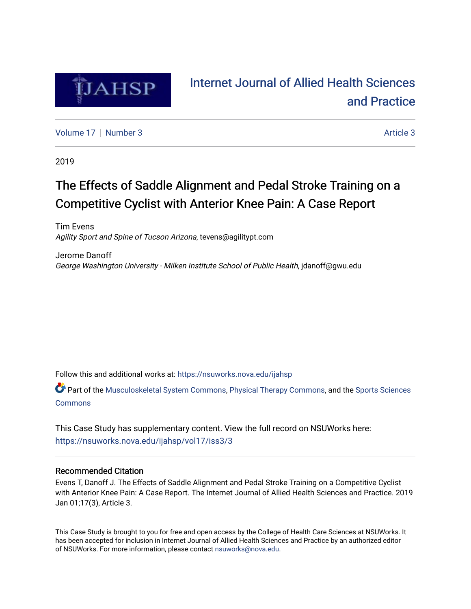

# [Internet Journal of Allied Health Sciences](https://nsuworks.nova.edu/ijahsp)  [and Practice](https://nsuworks.nova.edu/ijahsp)

[Volume 17](https://nsuworks.nova.edu/ijahsp/vol17) | [Number 3](https://nsuworks.nova.edu/ijahsp/vol17/iss3) Article 3

2019

# The Effects of Saddle Alignment and Pedal Stroke Training on a Competitive Cyclist with Anterior Knee Pain: A Case Report

Tim Evens Agility Sport and Spine of Tucson Arizona, tevens@agilitypt.com

Jerome Danoff George Washington University - Milken Institute School of Public Health, jdanoff@gwu.edu

Follow this and additional works at: [https://nsuworks.nova.edu/ijahsp](https://nsuworks.nova.edu/ijahsp?utm_source=nsuworks.nova.edu%2Fijahsp%2Fvol17%2Fiss3%2F3&utm_medium=PDF&utm_campaign=PDFCoverPages) 

Part of the [Musculoskeletal System Commons](http://network.bepress.com/hgg/discipline/938?utm_source=nsuworks.nova.edu%2Fijahsp%2Fvol17%2Fiss3%2F3&utm_medium=PDF&utm_campaign=PDFCoverPages), [Physical Therapy Commons](http://network.bepress.com/hgg/discipline/754?utm_source=nsuworks.nova.edu%2Fijahsp%2Fvol17%2Fiss3%2F3&utm_medium=PDF&utm_campaign=PDFCoverPages), and the [Sports Sciences](http://network.bepress.com/hgg/discipline/759?utm_source=nsuworks.nova.edu%2Fijahsp%2Fvol17%2Fiss3%2F3&utm_medium=PDF&utm_campaign=PDFCoverPages) **[Commons](http://network.bepress.com/hgg/discipline/759?utm_source=nsuworks.nova.edu%2Fijahsp%2Fvol17%2Fiss3%2F3&utm_medium=PDF&utm_campaign=PDFCoverPages)** 

This Case Study has supplementary content. View the full record on NSUWorks here: <https://nsuworks.nova.edu/ijahsp/vol17/iss3/3>

## Recommended Citation

Evens T, Danoff J. The Effects of Saddle Alignment and Pedal Stroke Training on a Competitive Cyclist with Anterior Knee Pain: A Case Report. The Internet Journal of Allied Health Sciences and Practice. 2019 Jan 01;17(3), Article 3.

This Case Study is brought to you for free and open access by the College of Health Care Sciences at NSUWorks. It has been accepted for inclusion in Internet Journal of Allied Health Sciences and Practice by an authorized editor of NSUWorks. For more information, please contact [nsuworks@nova.edu.](mailto:nsuworks@nova.edu)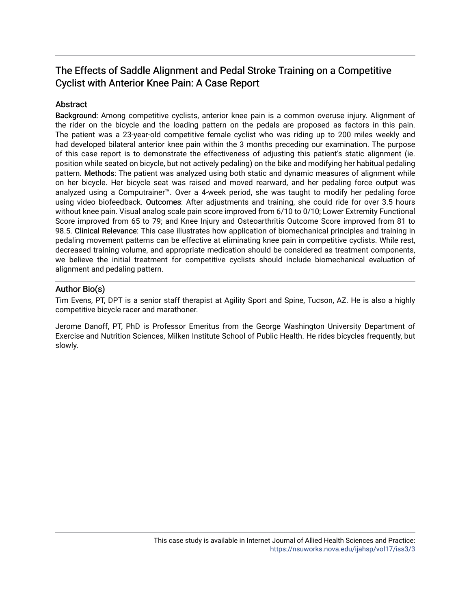## The Effects of Saddle Alignment and Pedal Stroke Training on a Competitive Cyclist with Anterior Knee Pain: A Case Report

## **Abstract**

Background: Among competitive cyclists, anterior knee pain is a common overuse injury. Alignment of the rider on the bicycle and the loading pattern on the pedals are proposed as factors in this pain. The patient was a 23-year-old competitive female cyclist who was riding up to 200 miles weekly and had developed bilateral anterior knee pain within the 3 months preceding our examination. The purpose of this case report is to demonstrate the effectiveness of adjusting this patient's static alignment (ie. position while seated on bicycle, but not actively pedaling) on the bike and modifying her habitual pedaling pattern. Methods: The patient was analyzed using both static and dynamic measures of alignment while on her bicycle. Her bicycle seat was raised and moved rearward, and her pedaling force output was analyzed using a Computrainer™. Over a 4-week period, she was taught to modify her pedaling force using video biofeedback. Outcomes: After adjustments and training, she could ride for over 3.5 hours without knee pain. Visual analog scale pain score improved from 6/10 to 0/10; Lower Extremity Functional Score improved from 65 to 79; and Knee Injury and Osteoarthritis Outcome Score improved from 81 to 98.5. Clinical Relevance: This case illustrates how application of biomechanical principles and training in pedaling movement patterns can be effective at eliminating knee pain in competitive cyclists. While rest, decreased training volume, and appropriate medication should be considered as treatment components, we believe the initial treatment for competitive cyclists should include biomechanical evaluation of alignment and pedaling pattern.

## Author Bio(s)

Tim Evens, PT, DPT is a senior staff therapist at Agility Sport and Spine, Tucson, AZ. He is also a highly competitive bicycle racer and marathoner.

Jerome Danoff, PT, PhD is Professor Emeritus from the George Washington University Department of Exercise and Nutrition Sciences, Milken Institute School of Public Health. He rides bicycles frequently, but slowly.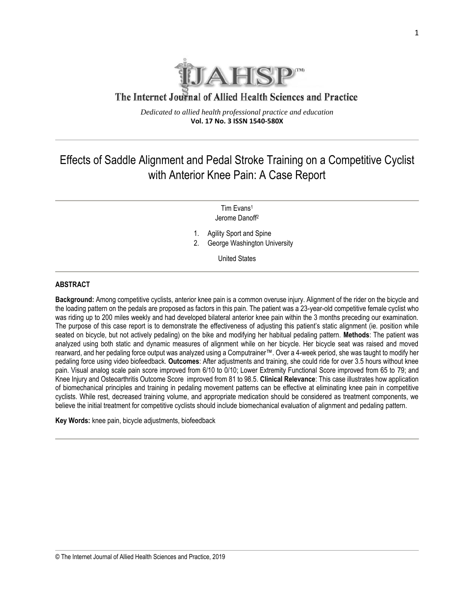

## The Internet Journal of Allied Health Sciences and Practice

*Dedicated to allied health professional practice and education* **Vol. 17 No. 3 ISSN 1540-580X**

## Effects of Saddle Alignment and Pedal Stroke Training on a Competitive Cyclist with Anterior Knee Pain: A Case Report

Tim Evans<sup>1</sup> Jerome Danoff<sup>2</sup>

1. Agility Sport and Spine

2. George Washington University

United States

#### **ABSTRACT**

**Background:** Among competitive cyclists, anterior knee pain is a common overuse injury. Alignment of the rider on the bicycle and the loading pattern on the pedals are proposed as factors in this pain. The patient was a 23-year-old competitive female cyclist who was riding up to 200 miles weekly and had developed bilateral anterior knee pain within the 3 months preceding our examination. The purpose of this case report is to demonstrate the effectiveness of adjusting this patient's static alignment (ie. position while seated on bicycle, but not actively pedaling) on the bike and modifying her habitual pedaling pattern. **Methods**: The patient was analyzed using both static and dynamic measures of alignment while on her bicycle. Her bicycle seat was raised and moved rearward, and her pedaling force output was analyzed using a Computrainer™. Over a 4-week period, she was taught to modify her pedaling force using video biofeedback. **Outcomes**: After adjustments and training, she could ride for over 3.5 hours without knee pain. Visual analog scale pain score improved from 6/10 to 0/10; Lower Extremity Functional Score improved from 65 to 79; and Knee Injury and Osteoarthritis Outcome Score improved from 81 to 98.5. **Clinical Relevance**: This case illustrates how application of biomechanical principles and training in pedaling movement patterns can be effective at eliminating knee pain in competitive cyclists. While rest, decreased training volume, and appropriate medication should be considered as treatment components, we believe the initial treatment for competitive cyclists should include biomechanical evaluation of alignment and pedaling pattern.

**Key Words:** knee pain, bicycle adjustments, biofeedback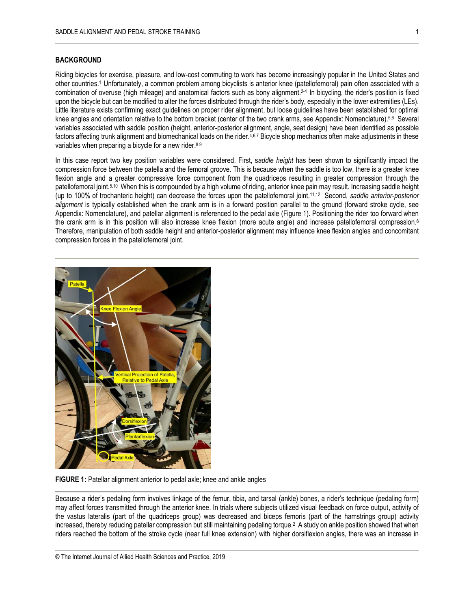#### **BACKGROUND**

Riding bicycles for exercise, pleasure, and low-cost commuting to work has become increasingly popular in the United States and other countries. <sup>1</sup>Unfortunately, a common problem among bicyclists is anterior knee (patellofemoral) pain often associated with a combination of overuse (high mileage) and anatomical factors such as bony alignment. 2-4 In bicycling, the rider's position is fixed upon the bicycle but can be modified to alter the forces distributed through the rider's body, especially in the lower extremities (LEs). Little literature exists confirming exact guidelines on proper rider alignment, but loose guidelines have been established for optimal knee angles and orientation relative to the bottom bracket (center of the two crank arms, see Appendix: Nomenclature).<sup>5,6</sup> Several variables associated with saddle position (height, anterior-posterior alignment, angle, seat design) have been identified as possible factors affecting trunk alignment and biomechanical loads on the rider.<sup>4,6,7</sup> Bicycle shop mechanics often make adjustments in these variables when preparing a bicycle for a new rider.<sup>8.9</sup>

In this case report two key position variables were considered. First, s*addle height* has been shown to significantly impact the compression force between the patella and the femoral groove. This is because when the saddle is too low, there is a greater knee flexion angle and a greater compressive force component from the quadriceps resulting in greater compression through the patellofemoral joint. 5,10 When this is compounded by a high volume of riding, anterior knee pain may result. Increasing saddle height (up to 100% of trochanteric height) can decrease the forces upon the patellofemoral joint. 11,12 Second, *saddle anterior-posterior alignment* is typically established when the crank arm is in a forward position parallel to the ground (forward stroke cycle, see Appendix: Nomenclature), and patellar alignment is referenced to the pedal axle (Figure 1). Positioning the rider too forward when the crank arm is in this position will also increase knee flexion (more acute angle) and increase patellofemoral compression.<sup>6</sup> Therefore, manipulation of both saddle height and anterior-posterior alignment may influence knee flexion angles and concomitant compression forces in the patellofemoral joint.



**FIGURE 1:** Patellar alignment anterior to pedal axle; knee and ankle angles

Because a rider's pedaling form involves linkage of the femur, tibia, and tarsal (ankle) bones, a rider's technique (pedaling form) may affect forces transmitted through the anterior knee. In trials where subjects utilized visual feedback on force output, activity of the vastus lateralis (part of the quadriceps group) was decreased and biceps femoris (part of the hamstrings group) activity increased, thereby reducing patellar compression but still maintaining pedaling torque. <sup>2</sup> A study on ankle position showed that when riders reached the bottom of the stroke cycle (near full knee extension) with higher dorsiflexion angles, there was an increase in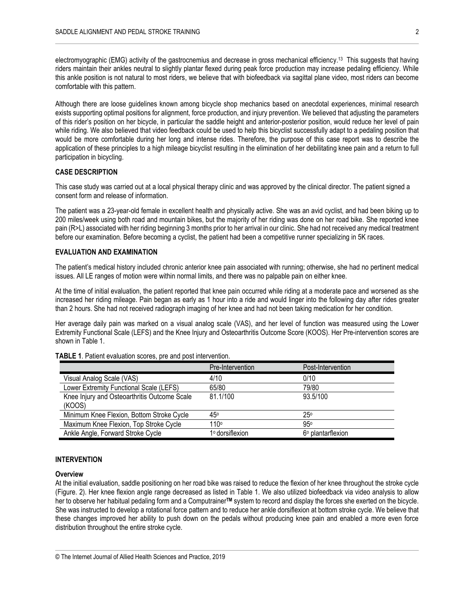electromyographic (EMG) activity of the gastrocnemius and decrease in gross mechanical efficiency.<sup>13</sup> This suggests that having riders maintain their ankles neutral to slightly plantar flexed during peak force production may increase pedaling efficiency. While this ankle position is not natural to most riders, we believe that with biofeedback via sagittal plane video, most riders can become comfortable with this pattern.

Although there are loose guidelines known among bicycle shop mechanics based on anecdotal experiences, minimal research exists supporting optimal positions for alignment, force production, and injury prevention. We believed that adjusting the parameters of this rider's position on her bicycle, in particular the saddle height and anterior-posterior position, would reduce her level of pain while riding. We also believed that video feedback could be used to help this bicyclist successfully adapt to a pedaling position that would be more comfortable during her long and intense rides. Therefore, the purpose of this case report was to describe the application of these principles to a high mileage bicyclist resulting in the elimination of her debilitating knee pain and a return to full participation in bicycling.

#### **CASE DESCRIPTION**

This case study was carried out at a local physical therapy clinic and was approved by the clinical director. The patient signed a consent form and release of information.

The patient was a 23-year-old female in excellent health and physically active. She was an avid cyclist, and had been biking up to 200 miles/week using both road and mountain bikes, but the majority of her riding was done on her road bike. She reported knee pain (R>L) associated with her riding beginning 3 months prior to her arrival in our clinic. She had not received any medical treatment before our examination. Before becoming a cyclist, the patient had been a competitive runner specializing in 5K races.

#### **EVALUATION AND EXAMINATION**

The patient's medical history included chronic anterior knee pain associated with running; otherwise, she had no pertinent medical issues. All LE ranges of motion were within normal limits, and there was no palpable pain on either knee.

At the time of initial evaluation, the patient reported that knee pain occurred while riding at a moderate pace and worsened as she increased her riding mileage. Pain began as early as 1 hour into a ride and would linger into the following day after rides greater than 2 hours. She had not received radiograph imaging of her knee and had not been taking medication for her condition.

Her average daily pain was marked on a visual analog scale (VAS), and her level of function was measured using the Lower Extremity Functional Scale (LEFS) and the Knee Injury and Osteoarthritis Outcome Score (KOOS). Her Pre-intervention scores are shown in Table 1.

|                                              | Pre-Intervention | Post-Intervention |
|----------------------------------------------|------------------|-------------------|
| Visual Analog Scale (VAS)                    | 4/10             | 0/10              |
| Lower Extremity Functional Scale (LEFS)      | 65/80            | 79/80             |
| Knee Injury and Osteoarthritis Outcome Scale | 81.1/100         | 93.5/100          |
| (KOOS)                                       |                  |                   |
| Minimum Knee Flexion, Bottom Stroke Cycle    | 45°              | 250               |
| Maximum Knee Flexion, Top Stroke Cycle       | 110°             | 95°               |
| Ankle Angle, Forward Stroke Cycle            | 1º dorsiflexion  | 6° plantarflexion |

#### **TABLE 1**. Patient evaluation scores, pre and post intervention.

#### **INTERVENTION**

#### **Overview**

At the initial evaluation, saddle positioning on her road bike was raised to reduce the flexion of her knee throughout the stroke cycle (Figure. 2). Her knee flexion angle range decreased as listed in Table 1. We also utilized biofeedback via video analysis to allow her to observe her habitual pedaling form and a Computrainer**TM** system to record and display the forces she exerted on the bicycle. She was instructed to develop a rotational force pattern and to reduce her ankle dorsiflexion at bottom stroke cycle. We believe that these changes improved her ability to push down on the pedals without producing knee pain and enabled a more even force distribution throughout the entire stroke cycle.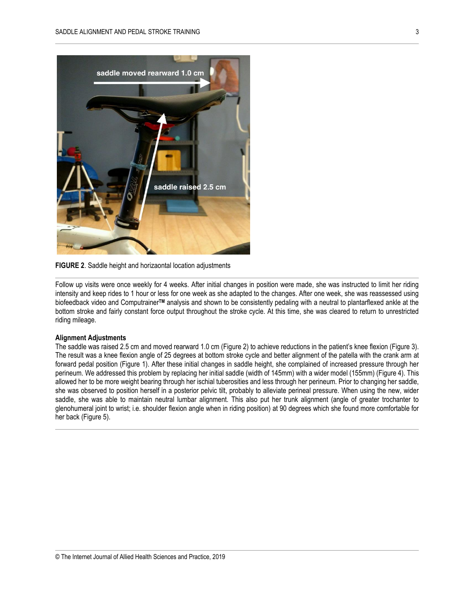

**FIGURE 2**. Saddle height and horizaontal location adjustments

Follow up visits were once weekly for 4 weeks. After initial changes in position were made, she was instructed to limit her riding intensity and keep rides to 1 hour or less for one week as she adapted to the changes. After one week, she was reassessed using biofeedback video and Computrainer**TM** analysis and shown to be consistently pedaling with a neutral to plantarflexed ankle at the bottom stroke and fairly constant force output throughout the stroke cycle. At this time, she was cleared to return to unrestricted riding mileage.

#### **Alignment Adjustments**

The saddle was raised 2.5 cm and moved rearward 1.0 cm (Figure 2) to achieve reductions in the patient's knee flexion (Figure 3). The result was a knee flexion angle of 25 degrees at bottom stroke cycle and better alignment of the patella with the crank arm at forward pedal position (Figure 1). After these initial changes in saddle height, she complained of increased pressure through her perineum. We addressed this problem by replacing her initial saddle (width of 145mm) with a wider model (155mm) (Figure 4). This allowed her to be more weight bearing through her ischial tuberosities and less through her perineum. Prior to changing her saddle, she was observed to position herself in a posterior pelvic tilt, probably to alleviate perineal pressure. When using the new, wider saddle, she was able to maintain neutral lumbar alignment. This also put her trunk alignment (angle of greater trochanter to glenohumeral joint to wrist; i.e. shoulder flexion angle when in riding position) at 90 degrees which she found more comfortable for her back (Figure 5).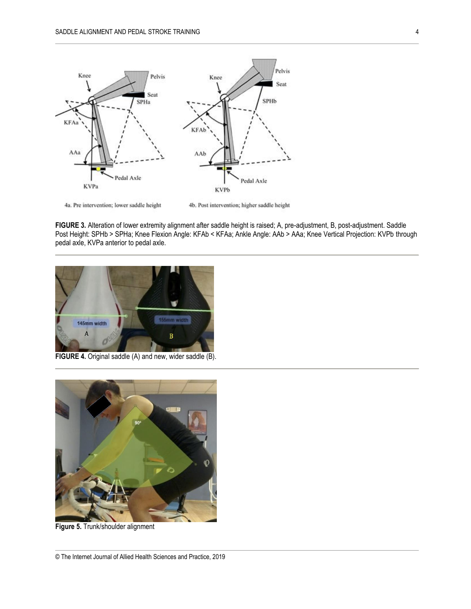

4a. Pre intervention; lower saddle height

4b. Post intervention; higher saddle height

**FIGURE 3.** Alteration of lower extremity alignment after saddle height is raised; A, pre-adjustment, B, post-adjustment. Saddle Post Height: SPHb > SPHa; Knee Flexion Angle: KFAb < KFAa; Ankle Angle: AAb > AAa; Knee Vertical Projection: KVPb through pedal axle, KVPa anterior to pedal axle.



**FIGURE 4.** Original saddle (A) and new, wider saddle (B).



**Figure 5.** Trunk/shoulder alignment

<sup>©</sup> The Internet Journal of Allied Health Sciences and Practice, 2019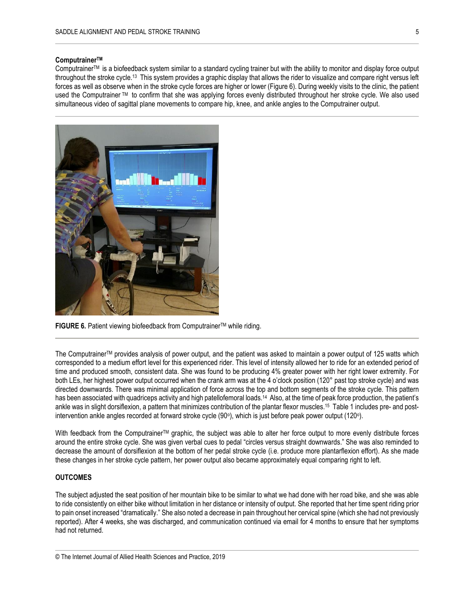#### **ComputrainerTM**

ComputrainerTM is a biofeedback system similar to a standard cycling trainer but with the ability to monitor and display force output throughout the stroke cycle. <sup>13</sup> This system provides a graphic display that allows the rider to visualize and compare right versus left forces as well as observe when in the stroke cycle forces are higher or lower (Figure 6). During weekly visits to the clinic, the patient used the Computrainer TM to confirm that she was applying forces evenly distributed throughout her stroke cycle. We also used simultaneous video of sagittal plane movements to compare hip, knee, and ankle angles to the Computrainer output.



**FIGURE 6.** Patient viewing biofeedback from Computrainer™ while riding.

The ComputrainerTM provides analysis of power output, and the patient was asked to maintain a power output of 125 watts which corresponded to a medium effort level for this experienced rider. This level of intensity allowed her to ride for an extended period of time and produced smooth, consistent data. She was found to be producing 4% greater power with her right lower extremity. For both LEs, her highest power output occurred when the crank arm was at the 4 o'clock position (120° past top stroke cycle) and was directed downwards. There was minimal application of force across the top and bottom segments of the stroke cycle. This pattern has been associated with quadriceps activity and high patellofemoral loads.<sup>14</sup> Also, at the time of peak force production, the patient's ankle was in slight dorsiflexion, a pattern that minimizes contribution of the plantar flexor muscles. <sup>15</sup> Table 1 includes pre- and postintervention ankle angles recorded at forward stroke cycle (90°), which is just before peak power output (120°).

With feedback from the Computrainer<sup>TM</sup> graphic, the subject was able to alter her force output to more evenly distribute forces around the entire stroke cycle. She was given verbal cues to pedal "circles versus straight downwards." She was also reminded to decrease the amount of dorsiflexion at the bottom of her pedal stroke cycle (i.e. produce more plantarflexion effort). As she made these changes in her stroke cycle pattern, her power output also became approximately equal comparing right to left.

#### **OUTCOMES**

The subject adjusted the seat position of her mountain bike to be similar to what we had done with her road bike, and she was able to ride consistently on either bike without limitation in her distance or intensity of output. She reported that her time spent riding prior to pain onset increased "dramatically." She also noted a decrease in pain throughout her cervical spine (which she had not previously reported). After 4 weeks, she was discharged, and communication continued via email for 4 months to ensure that her symptoms had not returned.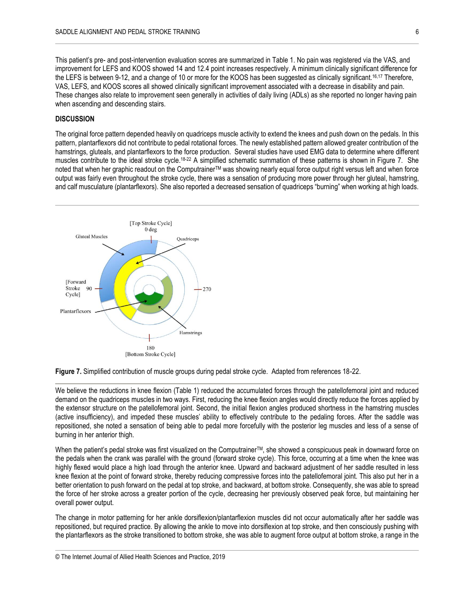This patient's pre- and post-intervention evaluation scores are summarized in Table 1. No pain was registered via the VAS, and improvement for LEFS and KOOS showed 14 and 12.4 point increases respectively. A minimum clinically significant difference for the LEFS is between 9-12, and a change of 10 or more for the KOOS has been suggested as clinically significant.<sup>16,17</sup> Therefore, VAS, LEFS, and KOOS scores all showed clinically significant improvement associated with a decrease in disability and pain. These changes also relate to improvement seen generally in activities of daily living (ADLs) as she reported no longer having pain when ascending and descending stairs.

### **DISCUSSION**

The original force pattern depended heavily on quadriceps muscle activity to extend the knees and push down on the pedals. In this pattern, plantarflexors did not contribute to pedal rotational forces. The newly established pattern allowed greater contribution of the hamstrings, gluteals, and plantarflexors to the force production. Several studies have used EMG data to determine where different muscles contribute to the ideal stroke cycle.<sup>18-22</sup> A simplified schematic summation of these patterns is shown in Figure 7. She noted that when her graphic readout on the Computrainer™ was showing nearly equal force output right versus left and when force output was fairly even throughout the stroke cycle, there was a sensation of producing more power through her gluteal, hamstring, and calf musculature (plantarflexors). She also reported a decreased sensation of quadriceps "burning" when working at high loads.



**Figure 7.** Simplified contribution of muscle groups during pedal stroke cycle. Adapted from references 18-22.

We believe the reductions in knee flexion (Table 1) reduced the accumulated forces through the patellofemoral joint and reduced demand on the quadriceps muscles in two ways. First, reducing the knee flexion angles would directly reduce the forces applied by the extensor structure on the patellofemoral joint. Second, the initial flexion angles produced shortness in the hamstring muscles (active insufficiency), and impeded these muscles' ability to effectively contribute to the pedaling forces. After the saddle was repositioned, she noted a sensation of being able to pedal more forcefully with the posterior leg muscles and less of a sense of burning in her anterior thigh.

When the patient's pedal stroke was first visualized on the Computrainer<sup>TM</sup>, she showed a conspicuous peak in downward force on the pedals when the crank was parallel with the ground (forward stroke cycle). This force, occurring at a time when the knee was highly flexed would place a high load through the anterior knee. Upward and backward adjustment of her saddle resulted in less knee flexion at the point of forward stroke, thereby reducing compressive forces into the patellofemoral joint. This also put her in a better orientation to push forward on the pedal at top stroke, and backward, at bottom stroke. Consequently, she was able to spread the force of her stroke across a greater portion of the cycle, decreasing her previously observed peak force, but maintaining her overall power output.

The change in motor patterning for her ankle dorsiflexion/plantarflexion muscles did not occur automatically after her saddle was repositioned, but required practice. By allowing the ankle to move into dorsiflexion at top stroke, and then consciously pushing with the plantarflexors as the stroke transitioned to bottom stroke, she was able to augment force output at bottom stroke, a range in the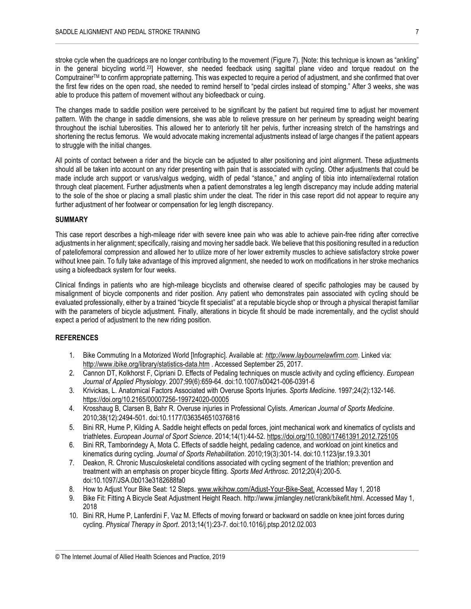stroke cycle when the quadriceps are no longer contributing to the movement (Figure 7). [Note: this technique is known as "ankling" in the general bicycling world.<sup>23</sup>] However, she needed feedback using sagittal plane video and torque readout on the ComputrainerTM to confirm appropriate patterning. This was expected to require a period of adjustment, and she confirmed that over the first few rides on the open road, she needed to remind herself to "pedal circles instead of stomping." After 3 weeks, she was able to produce this pattern of movement without any biofeedback or cuing.

The changes made to saddle position were perceived to be significant by the patient but required time to adjust her movement pattern. With the change in saddle dimensions, she was able to relieve pressure on her perineum by spreading weight bearing throughout the ischial tuberosities. This allowed her to anteriorly tilt her pelvis, further increasing stretch of the hamstrings and shortening the rectus femorus. We would advocate making incremental adjustments instead of large changes if the patient appears to struggle with the initial changes.

All points of contact between a rider and the bicycle can be adjusted to alter positioning and joint alignment. These adjustments should all be taken into account on any rider presenting with pain that is associated with cycling. Other adjustments that could be made include arch support or varus/valgus wedging, width of pedal "stance," and angling of tibia into internal/external rotation through cleat placement. Further adjustments when a patient demonstrates a leg length discrepancy may include adding material to the sole of the shoe or placing a small plastic shim under the cleat. The rider in this case report did not appear to require any further adjustment of her footwear or compensation for leg length discrepancy.

#### **SUMMARY**

This case report describes a high-mileage rider with severe knee pain who was able to achieve pain-free riding after corrective adjustments in her alignment; specifically, raising and moving her saddle back. We believe that this positioning resulted in a reduction of patellofemoral compression and allowed her to utilize more of her lower extremity muscles to achieve satisfactory stroke power without knee pain. To fully take advantage of this improved alignment, she needed to work on modifications in her stroke mechanics using a biofeedback system for four weeks.

Clinical findings in patients who are high-mileage bicyclists and otherwise cleared of specific pathologies may be caused by misalignment of bicycle components and rider position. Any patient who demonstrates pain associated with cycling should be evaluated professionally, either by a trained "bicycle fit specialist" at a reputable bicycle shop or through a physical therapist familiar with the parameters of bicycle adjustment. Finally, alterations in bicycle fit should be made incrementally, and the cyclist should expect a period of adjustment to the new riding position.

#### **REFERENCES**

- 1. Bike Commuting In a Motorized World [Infographic]. Available at: *[http://www.laybournelawfirm.com](http://www.laybournelawfirm.com/)*. Linked via: <http://www.ibike.org/library/statistics-data.htm> . Accessed September 25, 2017.
- 2. Cannon DT, Kolkhorst F, Cipriani D. Effects of Pedaling techniques on muscle activity and cycling efficiency. *European Journal of Applied Physiology*. 2007;99(6):659-64. doi:10.1007/s00421-006-0391-6
- 3. Krivickas, L. Anatomical Factors Associated with Overuse Sports Injuries. *Sports Medicine*. 1997;24(2):132-146. <https://doi.org/10.2165/00007256-199724020-00005>
- 4. Krosshaug B, Clarsen B, Bahr R. Overuse injuries in Professional Cylists. *American Journal of Sports Medicine*. 2010;38(12):2494-501. doi:10.1177/0363546510376816
- 5. Bini RR, Hume P, Kilding A. Saddle height effects on pedal forces, joint mechanical work and kinematics of cyclists and triathletes. *European Journal of Sport Science*. 2014;14(1):44-52[. https://doi.org/10.1080/17461391.2012.725105](https://doi.org/10.1080/17461391.2012.725105)
- 6. Bini RR, Tamborindegy A, Mota C. Effects of saddle height, pedaling cadence, and workload on joint kinetics and kinematics during cycling. *Journal of Sports Rehabilitation*. 2010;19(3):301-14. doi:10.1123/jsr.19.3.301
- 7. Deakon, R. Chronic Musculoskeletal conditions associated with cycling segment of the triathlon; prevention and treatment with an emphasis on proper bicycle fitting. *Sports Med Arthrosc*. 2012;20(4):200-5. doi:10.1097/JSA.0b013e3182688fa0
- 8. How to Adjust Your Bike Seat: 12 Steps. [www.wikihow.com/Adjust-Your-Bike-Seat.](http://www.wikihow.com/Adjust-Your-Bike-Seat) Accessed May 1, 2018
- 9. Bike Fit: Fitting A Bicycle Seat Adjustment Height Reach. [http://www.jimlangley.net/crank/bikefit.html.](http://www.jimlangley.net/crank/bikefit.html) Accessed May 1, 2018
- 10. Bini RR, Hume P, Lanferdini F, Vaz M. Effects of moving forward or backward on saddle on knee joint forces during cycling. *Physical Therapy in Sport*. 2013;14(1):23-7. doi:10.1016/j.ptsp.2012.02.003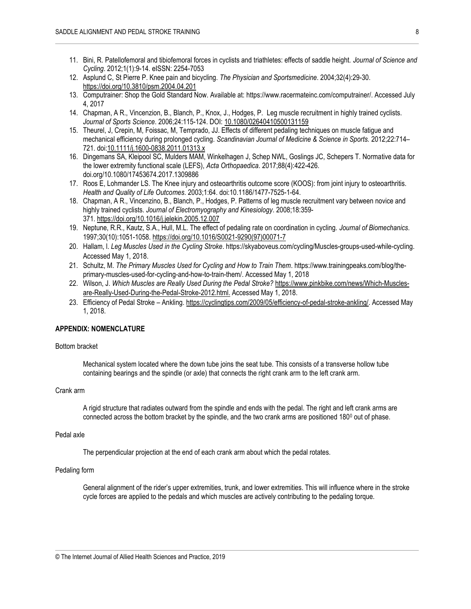- 11. Bini, R. Patellofemoral and tibiofemoral forces in cyclists and triathletes: effects of saddle height. *Journal of Science and Cycling*. 2012;1(1):9-14. eISSN: 2254-7053
- 12. Asplund C, St Pierre P. Knee pain and bicycling. *The Physician and Sportsmedicine*. 2004;32(4):29-30. <https://doi.org/10.3810/psm.2004.04.201>
- 13. Computrainer: Shop the Gold Standard Now. Available at: https://www.racermateinc.com/computrainer/. Accessed July 4, 2017
- 14. Chapman, A R., Vincenzion, B., Blanch, P., Knox, J., Hodges, P. Leg muscle recruitment in highly trained cyclists. *Journal of Sports Science*. 2006;24:115-124. DOI[: 10.1080/02640410500131159](https://doi.org/10.1080/02640410500131159)
- 15. Theurel, J, Crepin, M, Foissac, M, Temprado, JJ. Effects of different pedaling techniques on muscle fatigue and mechanical efficiency during prolonged cycling. *Scandinavian Journal of Medicine & Science in Sports.* 2012;22:714– 721. do[i:10.1111/j.1600-0838.2011.01313.x](https://doi.org/10.1111/j.1600-0838.2011.01313.x)
- 16. Dingemans SA, Kleipool SC, Mulders MAM, Winkelhagen J, Schep NWL, Goslings JC, Schepers T. Normative data for the lower extremity functional scale (LEFS), *Acta Orthopaedica*. 2017;88(4):422-426. doi.org/10.1080/17453674.2017.1309886
- 17. Roos E, Lohmander LS. The Knee injury and osteoarthritis outcome score (KOOS): from joint injury to osteoarthritis. *Health and Quality of Life Outcomes*. 2003;1:64. doi:10.1186/1477-7525-1-64.
- 18. Chapman, A R., Vincenzino, B., Blanch, P., Hodges, P. Patterns of leg muscle recruitment vary between novice and highly trained cyclists. *Journal of Electromyography and Kinesiology*. 2008;18:359- 371. <https://doi.org/10.1016/j.jelekin.2005.12.007>
- 19. Neptune, R.R., Kautz, S.A., Hull, M.L. The effect of pedaling rate on coordination in cycling. *Journal of Biomechanics*. 1997;30(10):1051-1058[. https://doi.org/10.1016/S0021-9290\(97\)00071-7](https://doi.org/10.1016/S0021-9290(97)00071-7)
- 20. Hallam, l. *Leg Muscles Used in the Cycling Stroke*. [https://skyaboveus.com/cycling/Muscles-groups-used-while-cycling.](https://skyaboveus.com/cycling/Muscles-groups-used-while-cycling) Accessed May 1, 2018.
- 21. Schultz, M. *The Primary Muscles Used for Cycling and How to Train Them*. [https://www.trainingpeaks.com/blog/the](https://www.trainingpeaks.com/blog/the-primary-muscles-used-for-cycling-and-how-to-train-them/)[primary-muscles-used-for-cycling-and-how-to-train-them/.](https://www.trainingpeaks.com/blog/the-primary-muscles-used-for-cycling-and-how-to-train-them/) Accessed May 1, 2018
- 22. Wilson, J. *Which Muscles are Really Used During the Pedal Stroke?* [https://www.pinkbike.com/news/Which-Muscles](https://www.pinkbike.com/news/Which-Muscles-are-Really-Used-During-the-Pedal-Stroke-2012.html)[are-Really-Used-During-the-Pedal-Stroke-2012.html.](https://www.pinkbike.com/news/Which-Muscles-are-Really-Used-During-the-Pedal-Stroke-2012.html) Accessed May 1, 2018.
- 23. Efficiency of Pedal Stroke Ankling. [https://cyclingtips.com/2009/05/efficiency-of-pedal-stroke-ankling/.](https://cyclingtips.com/2009/05/efficiency-of-pedal-stroke-ankling/) Accessed May 1, 2018.

#### **APPENDIX: NOMENCLATURE**

#### Bottom bracket

Mechanical system located where the down tube joins the seat tube. This consists of a transverse hollow tube containing bearings and the spindle (or axle) that connects the right crank arm to the left crank arm.

#### Crank arm

A rigid structure that radiates outward from the spindle and ends with the pedal. The right and left crank arms are connected across the bottom bracket by the spindle, and the two crank arms are positioned  $180^{\circ}$  out of phase.

#### Pedal axle

The perpendicular projection at the end of each crank arm about which the pedal rotates.

#### Pedaling form

General alignment of the rider's upper extremities, trunk, and lower extremities. This will influence where in the stroke cycle forces are applied to the pedals and which muscles are actively contributing to the pedaling torque.